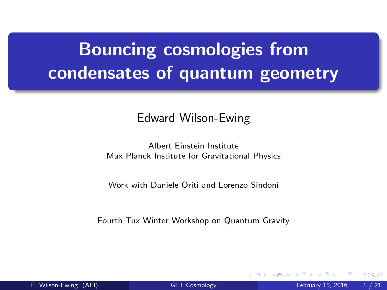# Bouncing cosmologies from condensates of quantum geometry

#### Edward Wilson-Ewing

Albert Einstein Institute Max Planck Institute for Gravitational Physics

Work with Daniele Oriti and Lorenzo Sindoni

<span id="page-0-0"></span>Fourth Tux Winter Workshop on Quantum Gravity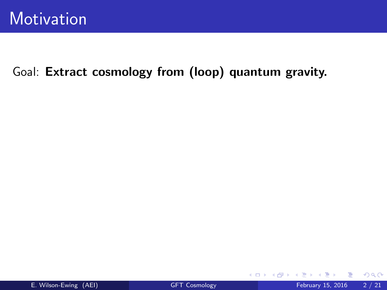Goal: Extract cosmology from (loop) quantum gravity.

4 0 8 → 母  $\rightarrow$   $299$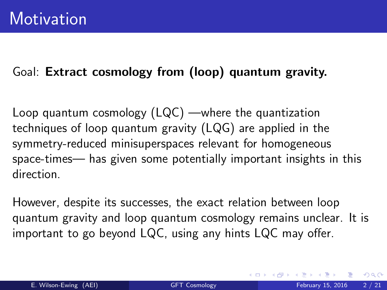#### Goal: Extract cosmology from (loop) quantum gravity.

Loop quantum cosmology (LQC) —where the quantization techniques of loop quantum gravity (LQG) are applied in the symmetry-reduced minisuperspaces relevant for homogeneous space-times— has given some potentially important insights in this direction.

However, despite its successes, the exact relation between loop quantum gravity and loop quantum cosmology remains unclear. It is important to go beyond LQC, using any hints LQC may offer.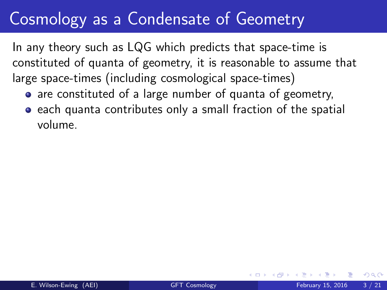### Cosmology as a Condensate of Geometry

In any theory such as LQG which predicts that space-time is constituted of quanta of geometry, it is reasonable to assume that large space-times (including cosmological space-times)

- are constituted of a large number of quanta of geometry,
- **•** each quanta contributes only a small fraction of the spatial volume.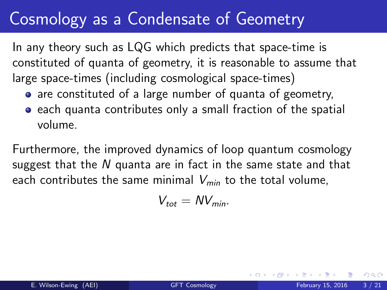### Cosmology as a Condensate of Geometry

In any theory such as LQG which predicts that space-time is constituted of quanta of geometry, it is reasonable to assume that large space-times (including cosmological space-times)

- are constituted of a large number of quanta of geometry,
- each quanta contributes only a small fraction of the spatial volume.

Furthermore, the improved dynamics of loop quantum cosmology suggest that the N quanta are in fact in the same state and that each contributes the same minimal  $V_{min}$  to the total volume,

$$
V_{tot}=NV_{min}.
$$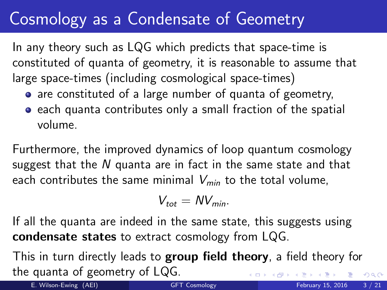## Cosmology as a Condensate of Geometry

In any theory such as LQG which predicts that space-time is constituted of quanta of geometry, it is reasonable to assume that large space-times (including cosmological space-times)

- are constituted of a large number of quanta of geometry,
- each quanta contributes only a small fraction of the spatial volume.

Furthermore, the improved dynamics of loop quantum cosmology suggest that the N quanta are in fact in the same state and that each contributes the same minimal  $V_{min}$  to the total volume,

$$
V_{tot}=NV_{min}.
$$

If all the quanta are indeed in the same state, this suggests using condensate states to extract cosmology from LQG.

This in turn directly leads to **group field theory**, a field theory for the quanta of geometry of LQG.  $QQ$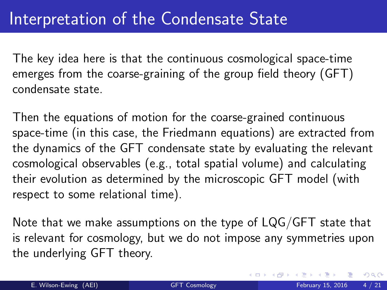The key idea here is that the continuous cosmological space-time emerges from the coarse-graining of the group field theory (GFT) condensate state.

Then the equations of motion for the coarse-grained continuous space-time (in this case, the Friedmann equations) are extracted from the dynamics of the GFT condensate state by evaluating the relevant cosmological observables (e.g., total spatial volume) and calculating their evolution as determined by the microscopic GFT model (with respect to some relational time).

Note that we make assumptions on the type of LQG/GFT state that is relevant for cosmology, but we do not impose any symmetries upon the underlying GFT theory.

 $\Omega$ 

**4 ロト 4 何 ト 4**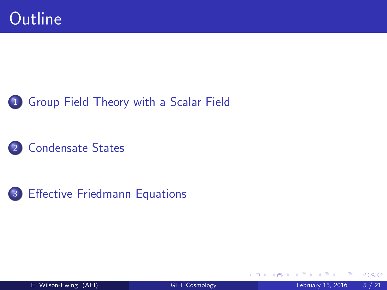#### <sup>1</sup> [Group Field Theory with a Scalar Field](#page-8-0)

#### <sup>2</sup> [Condensate States](#page-18-0)



4 0 8

 $QQ$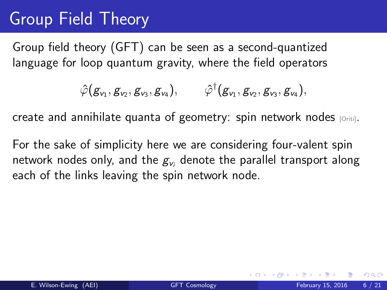### Group Field Theory

Group field theory (GFT) can be seen as a second-quantized language for loop quantum gravity, where the field operators

<span id="page-8-0"></span>
$$
\hat{\varphi}(g_{\mathsf{v}_1}, g_{\mathsf{v}_2}, g_{\mathsf{v}_3}, g_{\mathsf{v}_4}), \qquad \hat{\varphi}^\dagger(g_{\mathsf{v}_1}, g_{\mathsf{v}_2}, g_{\mathsf{v}_3}, g_{\mathsf{v}_4}),
$$

create and annihilate quanta of geometry: spin network nodes [Oriti].

For the sake of simplicity here we are considering four-valent spin network nodes only, and the  $g_{\mathsf{v}_i}$  denote the parallel transport along each of the links leaving the spin network node.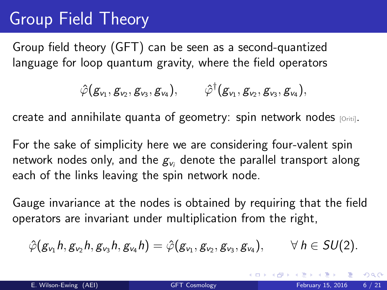### Group Field Theory

Group field theory (GFT) can be seen as a second-quantized language for loop quantum gravity, where the field operators

$$
\hat{\varphi}(g_{\mathsf{v}_1}, g_{\mathsf{v}_2}, g_{\mathsf{v}_3}, g_{\mathsf{v}_4}), \qquad \hat{\varphi}^\dagger(g_{\mathsf{v}_1}, g_{\mathsf{v}_2}, g_{\mathsf{v}_3}, g_{\mathsf{v}_4}),
$$

create and annihilate quanta of geometry: spin network nodes [Oriti].

For the sake of simplicity here we are considering four-valent spin network nodes only, and the  $g_{\mathsf{v}_i}$  denote the parallel transport along each of the links leaving the spin network node.

Gauge invariance at the nodes is obtained by requiring that the field operators are invariant under multiplication from the right,

$$
\hat{\varphi}(g_{v_1}h, g_{v_2}h, g_{v_3}h, g_{v_4}h) = \hat{\varphi}(g_{v_1}, g_{v_2}, g_{v_3}, g_{v_4}), \qquad \forall \ h \in SU(2).
$$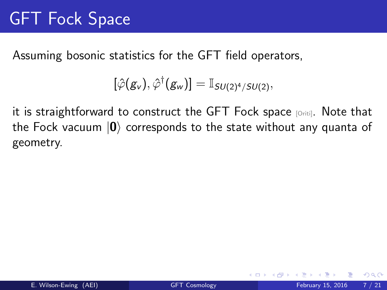Assuming bosonic statistics for the GFT field operators,

$$
[\hat{\varphi}(g_v),\hat{\varphi}^{\dagger}(g_w)]=\mathbb{I}_{SU(2)^4/SU(2)},
$$

it is straightforward to construct the GFT Fock space [Oriti]. Note that the Fock vacuum  $|0\rangle$  corresponds to the state without any quanta of geometry.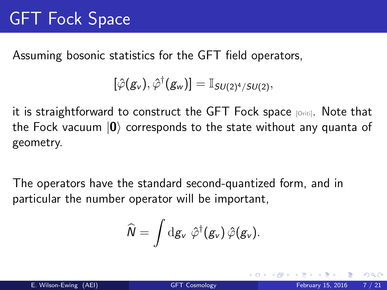Assuming bosonic statistics for the GFT field operators,

$$
[\hat{\varphi}(g_v),\hat{\varphi}^{\dagger}(g_w)]=\mathbb{I}_{SU(2)^4/SU(2)},
$$

it is straightforward to construct the GFT Fock space [Oriti]. Note that the Fock vacuum  $|0\rangle$  corresponds to the state without any quanta of geometry.

The operators have the standard second-quantized form, and in particular the number operator will be important,

$$
\widehat{N} = \int \mathrm{d} g_{\rm v}\, \, \hat{\varphi}^{\dagger} (g_{\rm v})\, \hat{\varphi} (g_{\rm v}).
$$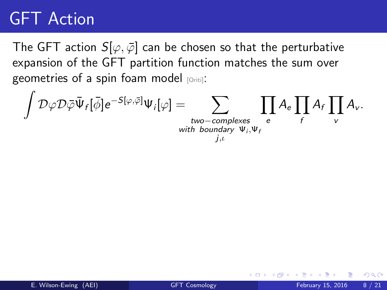#### GFT Action

The GFT action  $S[\varphi, \bar{\varphi}]$  can be chosen so that the perturbative expansion of the GFT partition function matches the sum over geometries of a spin foam model  $_{[Oriti]}$ :

$$
\int \mathcal{D}\varphi \mathcal{D}\bar{\varphi}\bar{\Psi}_f[\bar{\phi}]e^{-S[\varphi,\bar{\varphi}]} \Psi_i[\varphi] = \sum_{\substack{\text{two-complexes} \\ \text{with boundary } \Psi_i,\Psi_f}} \prod_{e} A_e \prod_f A_f \prod_v A_v.
$$

<span id="page-12-0"></span>4 0 8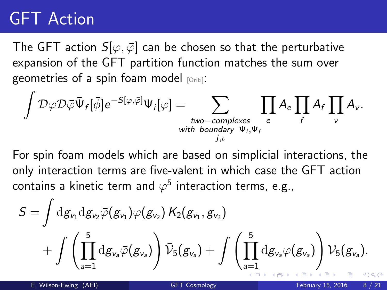#### GFT Action

The GFT action  $S[\varphi,\bar{\varphi}]$  can be chosen so that the perturbative expansion of the GFT partition function matches the sum over geometries of a spin foam model  $_{[Oriti]}$ :

$$
\int \mathcal{D}\varphi \mathcal{D}\bar{\varphi}\bar{\Psi}_f[\bar{\phi}]e^{-S[\varphi,\bar{\varphi}]} \Psi_i[\varphi] = \sum_{\substack{\text{two-complexes} \\ \text{with boundary } \Psi_i,\Psi_f}} \prod_{e} A_e \prod_f A_f \prod_v A_v.
$$

For spin foam models which are based on simplicial interactions, the only interaction terms are five-valent in which case the GFT action contains a kinetic term and  $\varphi^5$  interaction terms, e.g.,

<span id="page-13-0"></span>
$$
S = \int dg_{v_1} dg_{v_2} \overline{\varphi}(g_{v_1}) \varphi(g_{v_2}) K_2(g_{v_1}, g_{v_2})
$$
  
+ 
$$
\int \left( \prod_{a=1}^5 dg_{v_a} \overline{\varphi}(g_{v_a}) \right) \overline{\mathcal{V}}_5(g_{v_a}) + \int \left( \prod_{a=1}^5 dg_{v_a} \varphi(g_{v_a}) \right) \mathcal{V}_5(g_{v_a}).
$$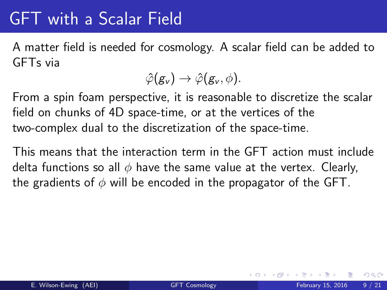#### GFT with a Scalar Field

A matter field is needed for cosmology. A scalar field can be added to GFTs via

 $\hat{\varphi}(\mathbf{g}_{v}) \rightarrow \hat{\varphi}(\mathbf{g}_{v}, \phi).$ 

From a spin foam perspective, it is reasonable to discretize the scalar field on chunks of 4D space-time, or at the vertices of the two-complex dual to the discretization of the space-time.

This means that the interaction term in the GFT action must include delta functions so all  $\phi$  have the same value at the vertex. Clearly, the gradients of  $\phi$  will be encoded in the propagator of the GFT.

<span id="page-14-0"></span> $200$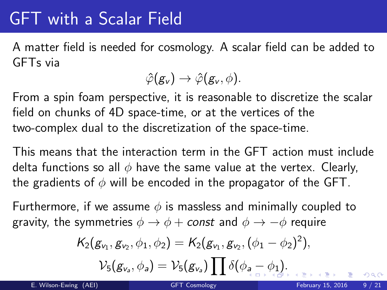#### GFT with a Scalar Field

A matter field is needed for cosmology. A scalar field can be added to GFTs via

$$
\hat{\varphi}(g_{\nu}) \rightarrow \hat{\varphi}(g_{\nu}, \phi).
$$

From a spin foam perspective, it is reasonable to discretize the scalar field on chunks of 4D space-time, or at the vertices of the two-complex dual to the discretization of the space-time.

This means that the interaction term in the GFT action must include delta functions so all  $\phi$  have the same value at the vertex. Clearly, the gradients of  $\phi$  will be encoded in the propagator of the GFT.

Furthermore, if we assume  $\phi$  is massless and minimally coupled to gravity, the symmetries  $\phi \rightarrow \phi + const$  and  $\phi \rightarrow -\phi$  require

<span id="page-15-0"></span>
$$
\mathcal{K}_2(g_{v_1}, g_{v_2}, \phi_1, \phi_2) = \mathcal{K}_2(g_{v_1}, g_{v_2}, (\phi_1 - \phi_2)^2),
$$
  

$$
\mathcal{V}_5(g_{v_a}, \phi_a) = \mathcal{V}_5(g_{v_a}) \prod \delta(\phi_a - \phi_1).
$$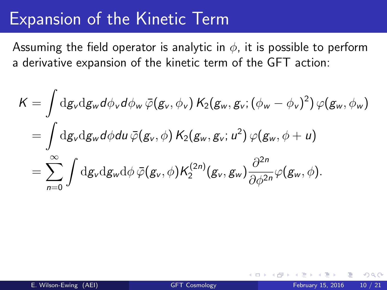#### Expansion of the Kinetic Term

Assuming the field operator is analytic in  $\phi$ , it is possible to perform a derivative expansion of the kinetic term of the GFT action:

$$
K = \int dg_v dg_w d\phi_v d\phi_w \,\overline{\varphi}(g_v, \phi_v) K_2(g_w, g_v; (\phi_w - \phi_v)^2) \,\varphi(g_w, \phi_w)
$$
  
= 
$$
\int dg_v dg_w d\phi du \,\overline{\varphi}(g_v, \phi) K_2(g_w, g_v; u^2) \,\varphi(g_w, \phi + u)
$$
  
= 
$$
\sum_{n=0}^{\infty} \int dg_v dg_w d\phi \,\overline{\varphi}(g_v, \phi) K_2^{(2n)}(g_v, g_w) \frac{\partial^{2n}}{\partial \phi^{2n}} \varphi(g_w, \phi).
$$

<span id="page-16-0"></span>4 0 8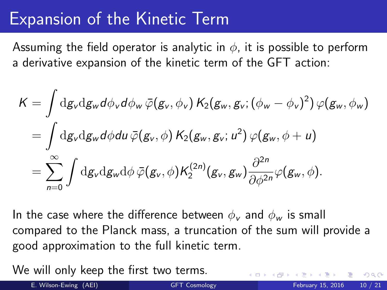#### Expansion of the Kinetic Term

Assuming the field operator is analytic in  $\phi$ , it is possible to perform a derivative expansion of the kinetic term of the GFT action:

$$
K = \int dg_v dg_w d\phi_v d\phi_w \,\overline{\varphi}(g_v, \phi_v) K_2(g_w, g_v; (\phi_w - \phi_v)^2) \,\varphi(g_w, \phi_w)
$$
  
= 
$$
\int dg_v dg_w d\phi du \,\overline{\varphi}(g_v, \phi) K_2(g_w, g_v; u^2) \,\varphi(g_w, \phi + u)
$$
  
= 
$$
\sum_{n=0}^{\infty} \int dg_v dg_w d\phi \,\overline{\varphi}(g_v, \phi) K_2^{(2n)}(g_v, g_w) \frac{\partial^{2n}}{\partial \phi^{2n}} \varphi(g_w, \phi).
$$

In the case where the difference between  $\phi_{\rm v}$  and  $\phi_{\rm w}$  is small compared to the Planck mass, a truncation of the sum will provide a good approximation to the full kinetic term.

We will only keep the first two terms.

 $QQ$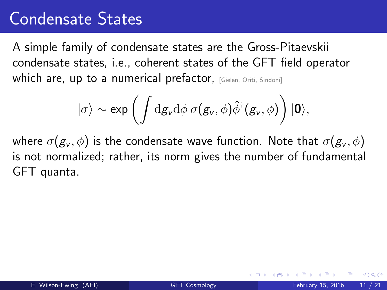#### Condensate States

A simple family of condensate states are the Gross-Pitaevskii condensate states, i.e., coherent states of the GFT field operator which are, up to a numerical prefactor, [Gielen, Oriti, Sindoni]

$$
|\sigma\rangle\sim\textrm{exp}\left(\int\textrm{d} g_v\textrm{d}\phi\,\sigma(g_v,\phi)\hat{\phi}^\dagger(g_v,\phi)\right)|\mathbf{0}\rangle,
$$

where  $\sigma(g_v, \phi)$  is the condensate wave function. Note that  $\sigma(g_v, \phi)$ is not normalized; rather, its norm gives the number of fundamental GFT quanta.

<span id="page-18-0"></span>つひひ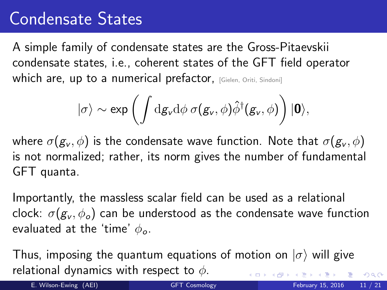#### Condensate States

A simple family of condensate states are the Gross-Pitaevskii condensate states, i.e., coherent states of the GFT field operator which are, up to a numerical prefactor, [Gielen, Oriti, Sindoni]

$$
|\sigma\rangle\sim\textrm{exp}\left(\int\textrm{d} g_v\textrm{d}\phi\,\sigma(g_v,\phi)\hat{\phi}^\dagger(g_v,\phi)\right)|\mathbf{0}\rangle,
$$

where  $\sigma(g_v, \phi)$  is the condensate wave function. Note that  $\sigma(g_v, \phi)$ is not normalized; rather, its norm gives the number of fundamental GFT quanta.

Importantly, the massless scalar field can be used as a relational clock:  $\sigma(g_v, \phi_o)$  can be understood as the condensate wave function evaluated at the 'time'  $\phi_{\alpha}$ .

Thus, imposing the quantum equations of motion on  $|\sigma\rangle$  will give relational dynamics with respect to  $\phi$ .

 $QQ$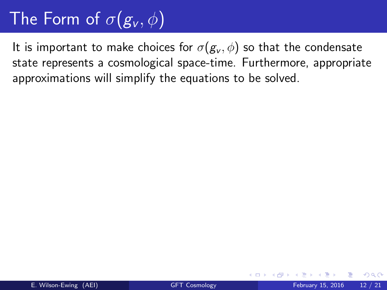# The Form of  $\sigma(g_v, \phi)$

It is important to make choices for  $\sigma(g_v, \phi)$  so that the condensate state represents a cosmological space-time. Furthermore, appropriate approximations will simplify the equations to be solved.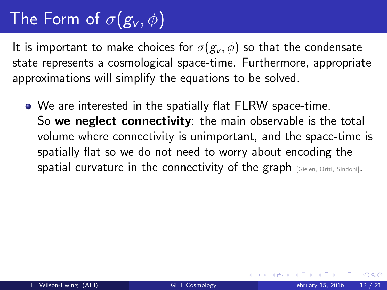# The Form of  $\sigma({\bar g}_{\rm v},\phi)$

It is important to make choices for  $\sigma(g_v, \phi)$  so that the condensate state represents a cosmological space-time. Furthermore, appropriate approximations will simplify the equations to be solved.

We are interested in the spatially flat FLRW space-time. So we neglect connectivity: the main observable is the total volume where connectivity is unimportant, and the space-time is spatially flat so we do not need to worry about encoding the spatial curvature in the connectivity of the graph [Gielen, Oriti, Sindoni].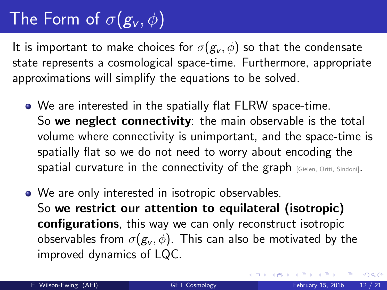# The Form of  $\sigma(g_v, \phi)$

It is important to make choices for  $\sigma(g_v, \phi)$  so that the condensate state represents a cosmological space-time. Furthermore, appropriate approximations will simplify the equations to be solved.

- We are interested in the spatially flat FLRW space-time. So we neglect connectivity: the main observable is the total volume where connectivity is unimportant, and the space-time is spatially flat so we do not need to worry about encoding the spatial curvature in the connectivity of the graph [Gielen, Oriti, Sindoni].
- We are only interested in isotropic observables. So we restrict our attention to equilateral (isotropic) configurations, this way we can only reconstruct isotropic observables from  $\sigma(g_v, \phi)$ . This can also be motivated by the improved dynamics of LQC.

 $\Omega$ 

**4 ロト 4 何 ト 4**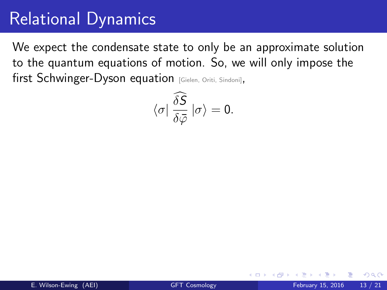#### Relational Dynamics

We expect the condensate state to only be an approximate solution to the quantum equations of motion. So, we will only impose the first Schwinger-Dyson equation [Gielen, Oriti, Sindoni],

$$
\langle \sigma | \; \frac{\widehat{\delta S}}{\delta \bar{\varphi}} \; | \sigma \rangle = 0.
$$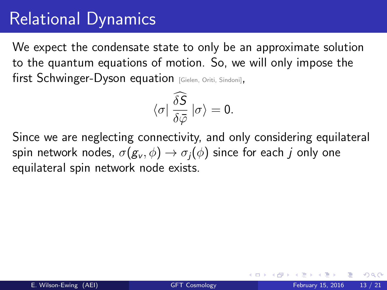#### Relational Dynamics

We expect the condensate state to only be an approximate solution to the quantum equations of motion. So, we will only impose the first Schwinger-Dyson equation [Gielen, Oriti, Sindoni],

$$
\langle \sigma | \frac{\widehat{\delta S}}{\delta \bar{\varphi}} \, | \sigma \rangle = 0.
$$

Since we are neglecting connectivity, and only considering equilateral spin network nodes,  $\sigma(g_v, \phi) \rightarrow \sigma_i(\phi)$  since for each j only one equilateral spin network node exists.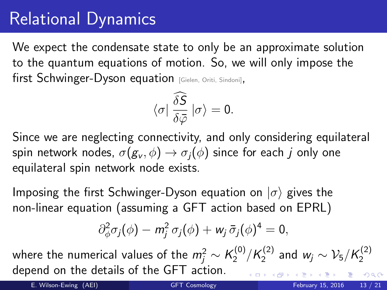#### Relational Dynamics

We expect the condensate state to only be an approximate solution to the quantum equations of motion. So, we will only impose the first Schwinger-Dyson equation [Gielen, Oriti, Sindoni],

$$
\langle \sigma | \frac{\widehat{\delta S}}{\delta \bar{\varphi}} | \sigma \rangle = 0.
$$

Since we are neglecting connectivity, and only considering equilateral spin network nodes,  $\sigma(g_v, \phi) \rightarrow \sigma_i(\phi)$  since for each j only one equilateral spin network node exists.

Imposing the first Schwinger-Dyson equation on  $|\sigma\rangle$  gives the non-linear equation (assuming a GFT action based on EPRL)

$$
\partial_{\phi}^2 \sigma_j(\phi) - m_j^2 \sigma_j(\phi) + w_j \bar{\sigma}_j(\phi)^4 = 0,
$$

where the numerical values of the  $m_{\tilde{j}}^2 \sim \mathcal{K}^{(0)}_2$  $\frac{\mathcal{L}^{(0)}}{2}/\mathcal{K}^{(2)}_2$  $\mathcal{V}_2^{(2)}$  and  $w_j \sim \mathcal{V}_5 / K_2^{(2)}$ 2 depend on the details of the GFT action.  $QQ$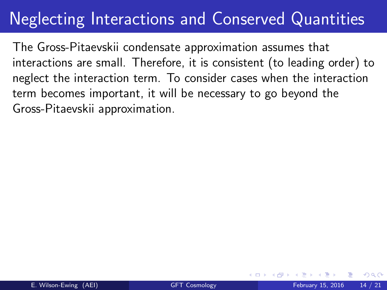### Neglecting Interactions and Conserved Quantities

The Gross-Pitaevskii condensate approximation assumes that interactions are small. Therefore, it is consistent (to leading order) to neglect the interaction term. To consider cases when the interaction term becomes important, it will be necessary to go beyond the Gross-Pitaevskii approximation.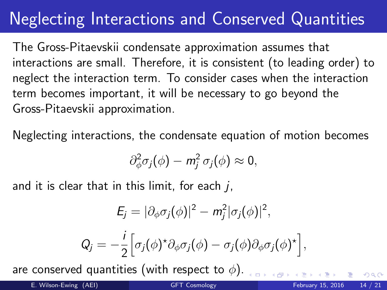## Neglecting Interactions and Conserved Quantities

The Gross-Pitaevskii condensate approximation assumes that interactions are small. Therefore, it is consistent (to leading order) to neglect the interaction term. To consider cases when the interaction term becomes important, it will be necessary to go beyond the Gross-Pitaevskii approximation.

Neglecting interactions, the condensate equation of motion becomes

$$
\partial_{\phi}^2 \sigma_j(\phi) - m_j^2 \sigma_j(\phi) \approx 0,
$$

and it is clear that in this limit, for each  $i$ ,

$$
E_j = |\partial_{\phi}\sigma_j(\phi)|^2 - m_j^2 |\sigma_j(\phi)|^2,
$$
  

$$
Q_j = -\frac{i}{2} \Big[ \sigma_j(\phi)^* \partial_{\phi}\sigma_j(\phi) - \sigma_j(\phi) \partial_{\phi}\sigma_j(\phi)^* \Big],
$$

are conserved quantities (with respect to  $\phi$ ).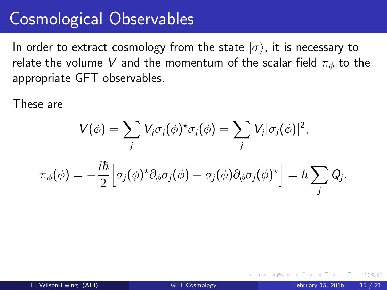#### Cosmological Observables

In order to extract cosmology from the state  $|\sigma\rangle$ , it is necessary to relate the volume V and the momentum of the scalar field  $\pi_{\phi}$  to the appropriate GFT observables.

These are

$$
V(\phi) = \sum_j V_j \sigma_j(\phi)^* \sigma_j(\phi) = \sum_j V_j |\sigma_j(\phi)|^2,
$$
  

$$
\pi_{\phi}(\phi) = -\frac{i\hbar}{2} \Big[ \sigma_j(\phi)^* \partial_{\phi} \sigma_j(\phi) - \sigma_j(\phi) \partial_{\phi} \sigma_j(\phi)^* \Big] = \hbar \sum_j Q_j.
$$

<span id="page-28-0"></span>4 0 8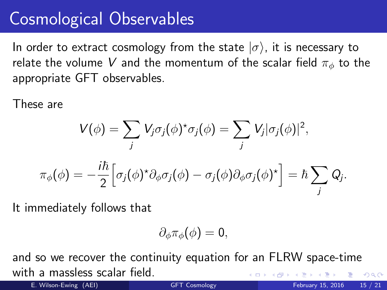### Cosmological Observables

In order to extract cosmology from the state  $|\sigma\rangle$ , it is necessary to relate the volume V and the momentum of the scalar field  $\pi_{\phi}$  to the appropriate GFT observables.

These are

$$
V(\phi) = \sum_j V_j \sigma_j(\phi)^* \sigma_j(\phi) = \sum_j V_j |\sigma_j(\phi)|^2,
$$
  

$$
\pi_{\phi}(\phi) = -\frac{i\hbar}{2} \Big[ \sigma_j(\phi)^* \partial_{\phi} \sigma_j(\phi) - \sigma_j(\phi) \partial_{\phi} \sigma_j(\phi)^* \Big] = \hbar \sum_j Q_j.
$$

It immediately follows that

$$
\partial_\phi \pi_\phi(\phi) = 0,
$$

and so we recover the continuity equation for an FLRW space-time with a massless scalar field.  $QQ$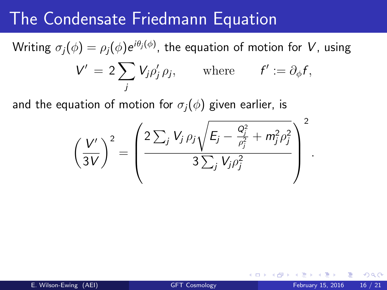#### The Condensate Friedmann Equation

Writing  $\sigma_j(\phi)=\rho_j(\phi) e^{i\theta_j(\phi)}$ , the equation of motion for  $V$ , using  $V' = 2\sum$ j  $V_j \rho'_j \rho_j$ , where  $f' := \partial_{\phi} f$ ,

and the equation of motion for  $\sigma_i(\phi)$  given earlier, is

$$
\left(\frac{V'}{3V}\right)^2 = \left(\frac{2\sum_j V_j \rho_j \sqrt{E_j - \frac{Q_j^2}{\rho_j^2} + m_j^2 \rho_j^2}}{3\sum_j V_j \rho_j^2}\right)^2
$$

 $\Omega$ 

.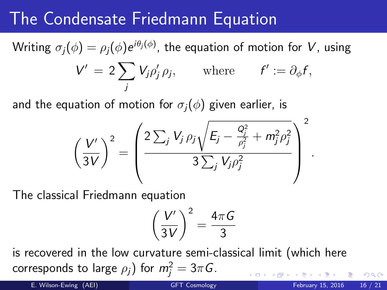### The Condensate Friedmann Equation

Writing  $\sigma_j(\phi)=\rho_j(\phi) e^{i\theta_j(\phi)}$ , the equation of motion for  $V$ , using  $V' = 2\sum$ j  $V_j \rho'_j \rho_j$ , where  $f' := \partial_{\phi} f$ ,

and the equation of motion for  $\sigma_i(\phi)$  given earlier, is

$$
\left(\frac{V'}{3V}\right)^2 = \left(\frac{2\sum_j V_j \rho_j \sqrt{E_j - \frac{Q_j^2}{\rho_j^2} + m_j^2 \rho_j^2}}{3\sum_j V_j \rho_j^2}\right)^2
$$

The classical Friedmann equation

$$
\left(\frac{V'}{3V}\right)^2 = \frac{4\pi G}{3}
$$

is recovered in the low curvature semi-classical limit (which here corresponds to large  $\rho_j)$  for  $m_j^2=3\pi G$ .

 $\eta$ an

.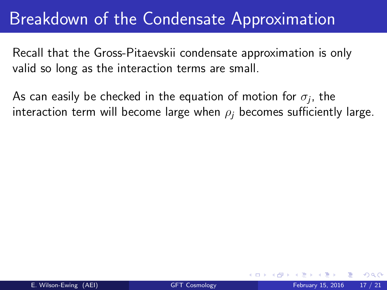#### Breakdown of the Condensate Approximation

Recall that the Gross-Pitaevskii condensate approximation is only valid so long as the interaction terms are small.

As can easily be checked in the equation of motion for  $\sigma_j$ , the interaction term will become large when  $\rho_i$  becomes sufficiently large.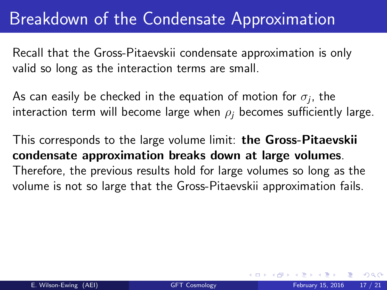#### Breakdown of the Condensate Approximation

Recall that the Gross-Pitaevskii condensate approximation is only valid so long as the interaction terms are small.

As can easily be checked in the equation of motion for  $\sigma_j$ , the interaction term will become large when  $\rho_i$  becomes sufficiently large.

This corresponds to the large volume limit: the Gross-Pitaevskii condensate approximation breaks down at large volumes. Therefore, the previous results hold for large volumes so long as the volume is not so large that the Gross-Pitaevskii approximation fails.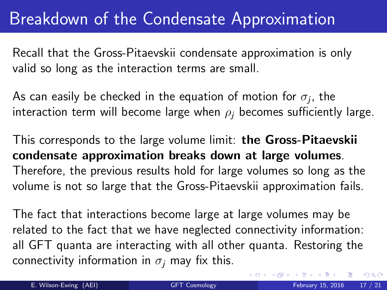#### Breakdown of the Condensate Approximation

Recall that the Gross-Pitaevskii condensate approximation is only valid so long as the interaction terms are small.

As can easily be checked in the equation of motion for  $\sigma_j$ , the interaction term will become large when  $\rho_i$  becomes sufficiently large.

This corresponds to the large volume limit: the Gross-Pitaevskii condensate approximation breaks down at large volumes. Therefore, the previous results hold for large volumes so long as the volume is not so large that the Gross-Pitaevskii approximation fails.

The fact that interactions become large at large volumes may be related to the fact that we have neglected connectivity information: all GFT quanta are interacting with all other quanta. Restoring the connectivity information in  $\sigma_i$  may fix this.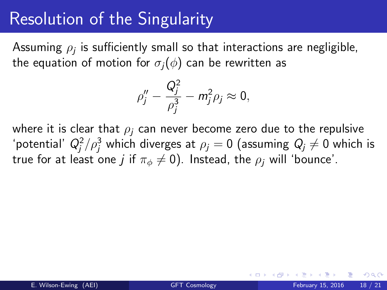#### Resolution of the Singularity

Assuming  $\rho_j$  is sufficiently small so that interactions are negligible, the equation of motion for  $\sigma_i(\phi)$  can be rewritten as

$$
\rho_j''-\frac{Q_j^2}{\rho_j^3}-m_j^2\rho_j\approx 0,
$$

where it is clear that  $\rho_i$  can never become zero due to the repulsive 'potential'  $Q_j^2/\rho_j^3$  which diverges at  $\rho_j=0$  (assuming  $Q_j\neq 0$  which is true for at least one j if  $\pi_{\phi} \neq 0$ ). Instead, the  $\rho_i$  will 'bounce'.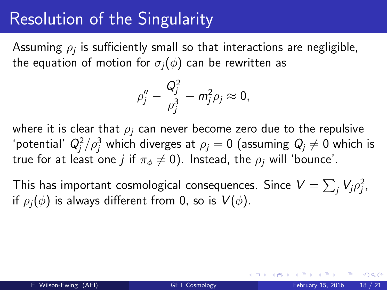#### Resolution of the Singularity

Assuming  $\rho_j$  is sufficiently small so that interactions are negligible, the equation of motion for  $\sigma_i(\phi)$  can be rewritten as

$$
\rho_j''-\frac{Q_j^2}{\rho_j^3}-m_j^2\rho_j\approx 0,
$$

where it is clear that  $\rho_i$  can never become zero due to the repulsive 'potential'  $Q_j^2/\rho_j^3$  which diverges at  $\rho_j=0$  (assuming  $Q_j\neq 0$  which is true for at least one j if  $\pi_{\phi} \neq 0$ ). Instead, the  $\rho_i$  will 'bounce'.

This has important cosmological consequences. Since  $V=\sum_j V_j\rho_j^2$ , if  $\rho_i(\phi)$  is always different from 0, so is  $V(\phi)$ .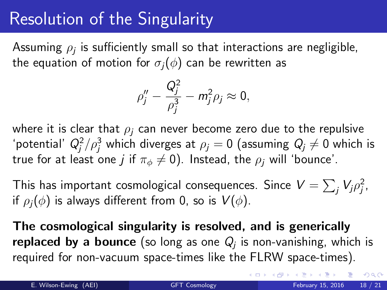#### Resolution of the Singularity

Assuming  $\rho_j$  is sufficiently small so that interactions are negligible, the equation of motion for  $\sigma_i(\phi)$  can be rewritten as

$$
\rho_j''-\frac{Q_j^2}{\rho_j^3}-m_j^2\rho_j\approx 0,
$$

where it is clear that  $\rho_i$  can never become zero due to the repulsive 'potential'  $Q_j^2/\rho_j^3$  which diverges at  $\rho_j=0$  (assuming  $Q_j\neq 0$  which is true for at least one *j* if  $\pi_{\phi} \neq 0$ ). Instead, the  $\rho_i$  will 'bounce'.

This has important cosmological consequences. Since  $V=\sum_j V_j\rho_j^2$ , if  $\rho_i(\phi)$  is always different from 0, so is  $V(\phi)$ .

The cosmological singularity is resolved, and is generically  $\boldsymbol{\mathsf{replaced}}$  by a bounce (so long as one  $Q_j$  is non-vanishing, which is required for non-vacuum space-times like the FLRW space-times).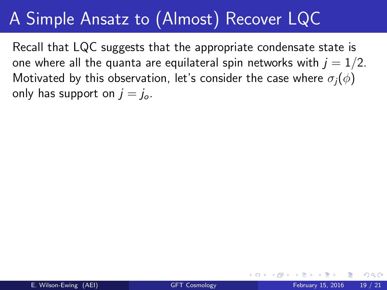### A Simple Ansatz to (Almost) Recover LQC

Recall that LQC suggests that the appropriate condensate state is one where all the quanta are equilateral spin networks with  $j = 1/2$ . Motivated by this observation, let's consider the case where  $\sigma_i(\phi)$ only has support on  $i = i_0$ .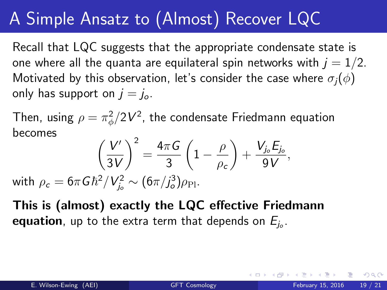### A Simple Ansatz to (Almost) Recover LQC

Recall that LQC suggests that the appropriate condensate state is one where all the quanta are equilateral spin networks with  $j = 1/2$ . Motivated by this observation, let's consider the case where  $\sigma_i(\phi)$ only has support on  $i = i_0$ .

Then, using  $\rho=\pi_\phi^2/2V^2$ , the condensate Friedmann equation becomes

$$
\left(\frac{V'}{3V}\right)^2 = \frac{4\pi G}{3}\left(1 - \frac{\rho}{\rho_c}\right) + \frac{V_{j_o}E_{j_o}}{9V},
$$
 with  $\rho_c = 6\pi G \hbar^2 / V_{j_o}^2 \sim (6\pi / j_o^3)\rho_{\text{Pl}}.$ 

This is (almost) exactly the LQC effective Friedmann  $\mathbf e$ quation, up to the extra term that depends on  $E_{j_o}.$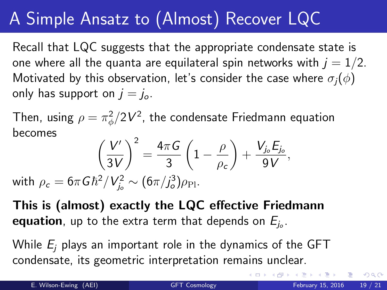## A Simple Ansatz to (Almost) Recover LQC

Recall that LQC suggests that the appropriate condensate state is one where all the quanta are equilateral spin networks with  $j = 1/2$ . Motivated by this observation, let's consider the case where  $\sigma_i(\phi)$ only has support on  $i = i_0$ .

Then, using  $\rho=\pi_\phi^2/2V^2$ , the condensate Friedmann equation becomes

$$
\left(\frac{V'}{3V}\right)^2 = \frac{4\pi G}{3}\left(1 - \frac{\rho}{\rho_c}\right) + \frac{V_{j_o}E_{j_o}}{9V},
$$
  

$$
\rho_c = 6\pi G\hbar^2/V_{j_o}^2 \sim (6\pi/j_o^3)\rho_{\text{Pl}}.
$$

This is (almost) exactly the LQC effective Friedmann  $\mathbf e$ quation, up to the extra term that depends on  $E_{j_o}.$ 

While  $E_i$  plays an important role in the dynamics of the GFT condensate, its geometric interpretation remains unclear.

with

 $QQ$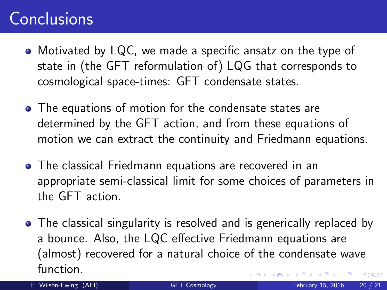#### **Conclusions**

- Motivated by LQC, we made a specific ansatz on the type of state in (the GFT reformulation of) LQG that corresponds to cosmological space-times: GFT condensate states.
- The equations of motion for the condensate states are determined by the GFT action, and from these equations of motion we can extract the continuity and Friedmann equations.
- The classical Friedmann equations are recovered in an appropriate semi-classical limit for some choices of parameters in the GFT action.
- The classical singularity is resolved and is generically replaced by a bounce. Also, the LQC effective Friedmann equations are (almost) recovered for a natural choice of the condensate wave function.  $\Omega$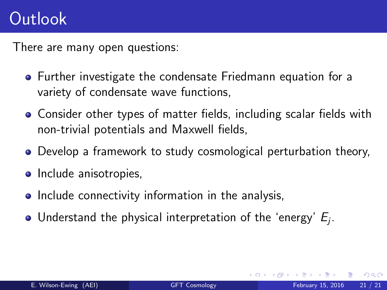#### Outlook

There are many open questions:

- Further investigate the condensate Friedmann equation for a variety of condensate wave functions,
- Consider other types of matter fields, including scalar fields with non-trivial potentials and Maxwell fields,
- Develop a framework to study cosmological perturbation theory,
- Include anisotropies,
- Include connectivity information in the analysis,
- Understand the physical interpretation of the 'energy'  $E_j$ .